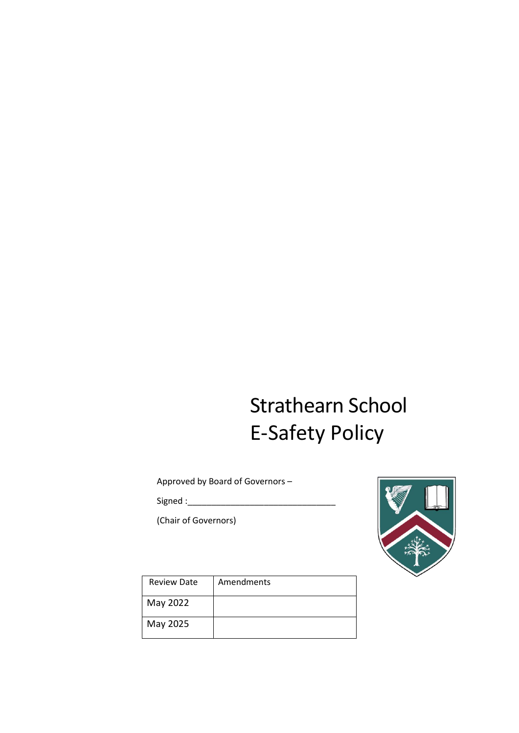# Strathearn School E-Safety Policy

Approved by Board of Governors –

Signed :

(Chair of Governors)



| <b>Review Date</b> | Amendments |
|--------------------|------------|
| May 2022           |            |
| May 2025           |            |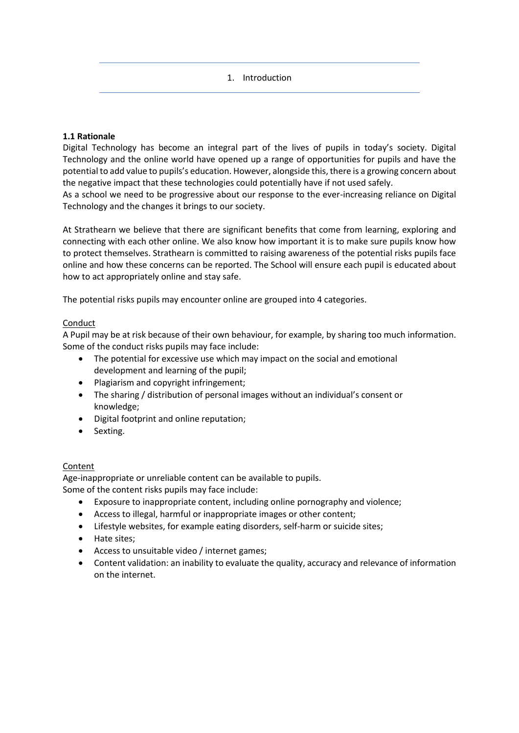1. Introduction

## **1.1 Rationale**

Digital Technology has become an integral part of the lives of pupils in today's society. Digital Technology and the online world have opened up a range of opportunities for pupils and have the potential to add value to pupils's education. However, alongside this, there is a growing concern about the negative impact that these technologies could potentially have if not used safely.

As a school we need to be progressive about our response to the ever-increasing reliance on Digital Technology and the changes it brings to our society.

At Strathearn we believe that there are significant benefits that come from learning, exploring and connecting with each other online. We also know how important it is to make sure pupils know how to protect themselves. Strathearn is committed to raising awareness of the potential risks pupils face online and how these concerns can be reported. The School will ensure each pupil is educated about how to act appropriately online and stay safe.

The potential risks pupils may encounter online are grouped into 4 categories.

## Conduct

A Pupil may be at risk because of their own behaviour, for example, by sharing too much information. Some of the conduct risks pupils may face include:

- The potential for excessive use which may impact on the social and emotional development and learning of the pupil;
- Plagiarism and copyright infringement;
- The sharing / distribution of personal images without an individual's consent or knowledge;
- Digital footprint and online reputation;
- Sexting.

#### Content

Age-inappropriate or unreliable content can be available to pupils.

Some of the content risks pupils may face include:

- Exposure to inappropriate content, including online pornography and violence;
- Access to illegal, harmful or inappropriate images or other content;
- Lifestyle websites, for example eating disorders, self-harm or suicide sites;
- Hate sites;
- Access to unsuitable video / internet games;
- Content validation: an inability to evaluate the quality, accuracy and relevance of information on the internet.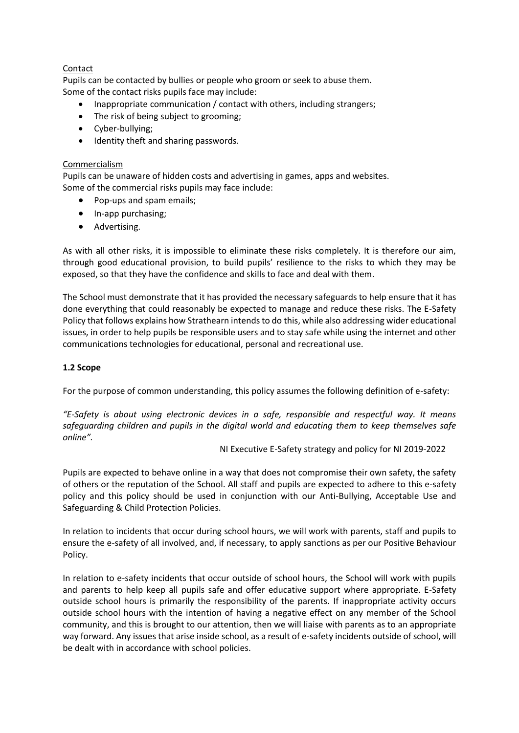## Contact

Pupils can be contacted by bullies or people who groom or seek to abuse them. Some of the contact risks pupils face may include:

- Inappropriate communication / contact with others, including strangers;
- The risk of being subject to grooming;
- Cyber-bullying;
- Identity theft and sharing passwords.

## Commercialism

Pupils can be unaware of hidden costs and advertising in games, apps and websites. Some of the commercial risks pupils may face include:

- Pop-ups and spam emails;
- In-app purchasing;
- Advertising.

As with all other risks, it is impossible to eliminate these risks completely. It is therefore our aim, through good educational provision, to build pupils' resilience to the risks to which they may be exposed, so that they have the confidence and skills to face and deal with them.

The School must demonstrate that it has provided the necessary safeguards to help ensure that it has done everything that could reasonably be expected to manage and reduce these risks. The E-Safety Policy that follows explains how Strathearn intends to do this, while also addressing wider educational issues, in order to help pupils be responsible users and to stay safe while using the internet and other communications technologies for educational, personal and recreational use.

## **1.2 Scope**

For the purpose of common understanding, this policy assumes the following definition of e-safety:

*"E-Safety is about using electronic devices in a safe, responsible and respectful way. It means safeguarding children and pupils in the digital world and educating them to keep themselves safe online".*

#### NI Executive E-Safety strategy and policy for NI 2019-2022

Pupils are expected to behave online in a way that does not compromise their own safety, the safety of others or the reputation of the School. All staff and pupils are expected to adhere to this e-safety policy and this policy should be used in conjunction with our Anti-Bullying, Acceptable Use and Safeguarding & Child Protection Policies.

In relation to incidents that occur during school hours, we will work with parents, staff and pupils to ensure the e-safety of all involved, and, if necessary, to apply sanctions as per our Positive Behaviour Policy.

In relation to e-safety incidents that occur outside of school hours, the School will work with pupils and parents to help keep all pupils safe and offer educative support where appropriate. E-Safety outside school hours is primarily the responsibility of the parents. If inappropriate activity occurs outside school hours with the intention of having a negative effect on any member of the School community, and this is brought to our attention, then we will liaise with parents as to an appropriate way forward. Any issues that arise inside school, as a result of e-safety incidents outside of school, will be dealt with in accordance with school policies.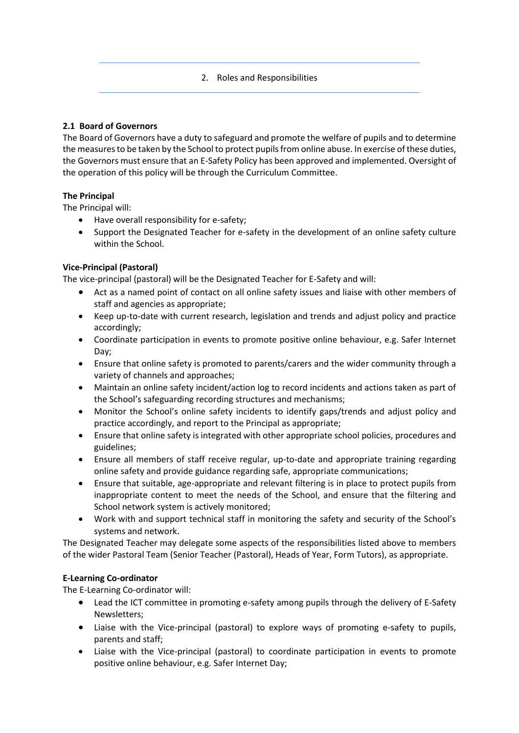## 2. Roles and Responsibilities

## **2.1 Board of Governors**

The Board of Governors have a duty to safeguard and promote the welfare of pupils and to determine the measures to be taken by the School to protect pupils from online abuse. In exercise of these duties, the Governors must ensure that an E-Safety Policy has been approved and implemented. Oversight of the operation of this policy will be through the Curriculum Committee.

# **The Principal**

The Principal will:

- Have overall responsibility for e-safety;
- Support the Designated Teacher for e-safety in the development of an online safety culture within the School.

# **Vice-Principal (Pastoral)**

The vice-principal (pastoral) will be the Designated Teacher for E-Safety and will:

- Act as a named point of contact on all online safety issues and liaise with other members of staff and agencies as appropriate;
- Keep up-to-date with current research, legislation and trends and adjust policy and practice accordingly;
- Coordinate participation in events to promote positive online behaviour, e.g. Safer Internet Day;
- Ensure that online safety is promoted to parents/carers and the wider community through a variety of channels and approaches;
- Maintain an online safety incident/action log to record incidents and actions taken as part of the School's safeguarding recording structures and mechanisms;
- Monitor the School's online safety incidents to identify gaps/trends and adjust policy and practice accordingly, and report to the Principal as appropriate;
- Ensure that online safety is integrated with other appropriate school policies, procedures and guidelines;
- Ensure all members of staff receive regular, up-to-date and appropriate training regarding online safety and provide guidance regarding safe, appropriate communications;
- Ensure that suitable, age-appropriate and relevant filtering is in place to protect pupils from inappropriate content to meet the needs of the School, and ensure that the filtering and School network system is actively monitored;
- Work with and support technical staff in monitoring the safety and security of the School's systems and network.

The Designated Teacher may delegate some aspects of the responsibilities listed above to members of the wider Pastoral Team (Senior Teacher (Pastoral), Heads of Year, Form Tutors), as appropriate.

## **E-Learning Co-ordinator**

The E-Learning Co-ordinator will:

- Lead the ICT committee in promoting e-safety among pupils through the delivery of E-Safety Newsletters;
- Liaise with the Vice-principal (pastoral) to explore ways of promoting e-safety to pupils, parents and staff;
- Liaise with the Vice-principal (pastoral) to coordinate participation in events to promote positive online behaviour, e.g. Safer Internet Day;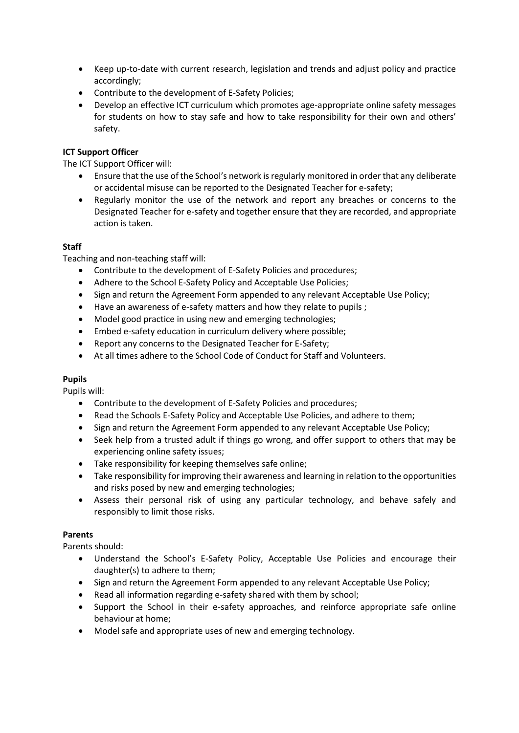- Keep up-to-date with current research, legislation and trends and adjust policy and practice accordingly;
- Contribute to the development of E-Safety Policies;
- Develop an effective ICT curriculum which promotes age-appropriate online safety messages for students on how to stay safe and how to take responsibility for their own and others' safety.

## **ICT Support Officer**

The ICT Support Officer will:

- Ensure that the use of the School's network is regularly monitored in order that any deliberate or accidental misuse can be reported to the Designated Teacher for e-safety;
- Regularly monitor the use of the network and report any breaches or concerns to the Designated Teacher for e-safety and together ensure that they are recorded, and appropriate action is taken.

#### **Staff**

Teaching and non-teaching staff will:

- Contribute to the development of E-Safety Policies and procedures;
- Adhere to the School E-Safety Policy and Acceptable Use Policies;
- Sign and return the Agreement Form appended to any relevant Acceptable Use Policy;
- Have an awareness of e-safety matters and how they relate to pupils ;
- Model good practice in using new and emerging technologies;
- Embed e-safety education in curriculum delivery where possible;
- Report any concerns to the Designated Teacher for E-Safety;
- At all times adhere to the School Code of Conduct for Staff and Volunteers.

#### **Pupils**

Pupils will:

- Contribute to the development of E-Safety Policies and procedures;
- Read the Schools E-Safety Policy and Acceptable Use Policies, and adhere to them;
- Sign and return the Agreement Form appended to any relevant Acceptable Use Policy;
- Seek help from a trusted adult if things go wrong, and offer support to others that may be experiencing online safety issues;
- Take responsibility for keeping themselves safe online;
- Take responsibility for improving their awareness and learning in relation to the opportunities and risks posed by new and emerging technologies;
- Assess their personal risk of using any particular technology, and behave safely and responsibly to limit those risks.

## **Parents**

Parents should:

- Understand the School's E-Safety Policy, Acceptable Use Policies and encourage their daughter(s) to adhere to them;
- Sign and return the Agreement Form appended to any relevant Acceptable Use Policy;
- Read all information regarding e-safety shared with them by school;
- Support the School in their e-safety approaches, and reinforce appropriate safe online behaviour at home;
- Model safe and appropriate uses of new and emerging technology.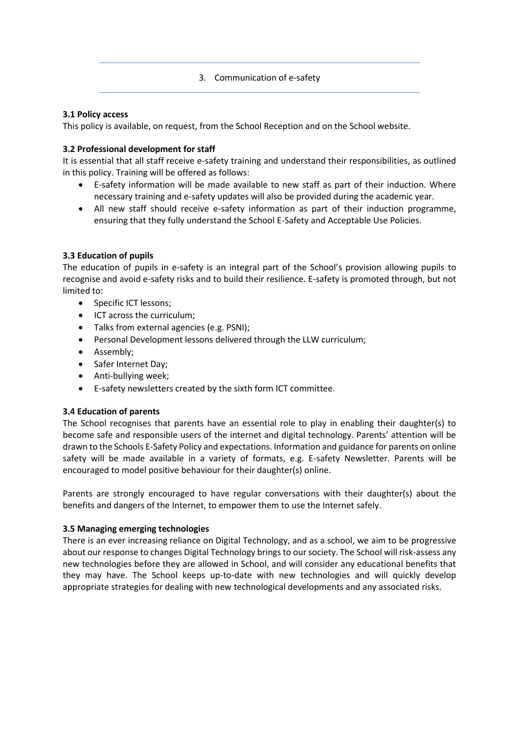## 3. Communication of e-safety

## **3.1 Policy access**

This policy is available, on request, from the School Reception and on the School website.

## **3.2 Professional development for staff**

It is essential that all staff receive e-safety training and understand their responsibilities, as outlined in this policy. Training will be offered as follows:

- E-safety information will be made available to new staff as part of their induction. Where necessary training and e-safety updates will also be provided during the academic year.
- All new staff should receive e-safety information as part of their induction programme, ensuring that they fully understand the School E-Safety and Acceptable Use Policies.

## **3.3 Education of pupils**

The education of pupils in e-safety is an integral part of the School's provision allowing pupils to recognise and avoid e-safety risks and to build their resilience. E-safety is promoted through, but not limited to:

- Specific ICT lessons;
- ICT across the curriculum;
- Talks from external agencies (e.g. PSNI);
- Personal Development lessons delivered through the LLW curriculum;
- Assembly;
- Safer Internet Day;
- Anti-bullying week;
- E-safety newsletters created by the sixth form ICT committee.

#### **3.4 Education of parents**

The School recognises that parents have an essential role to play in enabling their daughter(s) to become safe and responsible users of the internet and digital technology. Parents' attention will be drawn to the Schools E-Safety Policy and expectations. Information and guidance for parents on online safety will be made available in a variety of formats, e.g. E-safety Newsletter. Parents will be encouraged to model positive behaviour for their daughter(s) online.

Parents are strongly encouraged to have regular conversations with their daughter(s) about the benefits and dangers of the Internet, to empower them to use the Internet safely.

#### **3.5 Managing emerging technologies**

There is an ever increasing reliance on Digital Technology, and as a school, we aim to be progressive about our response to changes Digital Technology brings to our society. The School will risk-assess any new technologies before they are allowed in School, and will consider any educational benefits that they may have. The School keeps up-to-date with new technologies and will quickly develop appropriate strategies for dealing with new technological developments and any associated risks.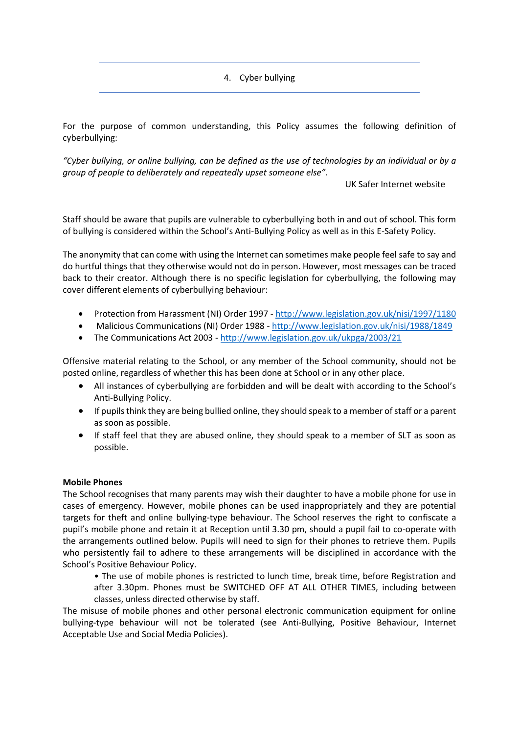4. Cyber bullying

For the purpose of common understanding, this Policy assumes the following definition of cyberbullying:

*"Cyber bullying, or online bullying, can be defined as the use of technologies by an individual or by a group of people to deliberately and repeatedly upset someone else".*

UK Safer Internet website

Staff should be aware that pupils are vulnerable to cyberbullying both in and out of school. This form of bullying is considered within the School's Anti-Bullying Policy as well as in this E-Safety Policy.

The anonymity that can come with using the Internet can sometimes make people feel safe to say and do hurtful things that they otherwise would not do in person. However, most messages can be traced back to their creator. Although there is no specific legislation for cyberbullying, the following may cover different elements of cyberbullying behaviour:

- Protection from Harassment (NI) Order 1997 <http://www.legislation.gov.uk/nisi/1997/1180>
- Malicious Communications (NI) Order 1988 <http://www.legislation.gov.uk/nisi/1988/1849>
- The Communications Act 2003 <http://www.legislation.gov.uk/ukpga/2003/21>

Offensive material relating to the School, or any member of the School community, should not be posted online, regardless of whether this has been done at School or in any other place.

- All instances of cyberbullying are forbidden and will be dealt with according to the School's Anti-Bullying Policy.
- If pupils think they are being bullied online, they should speak to a member of staff or a parent as soon as possible.
- If staff feel that they are abused online, they should speak to a member of SLT as soon as possible.

#### **Mobile Phones**

The School recognises that many parents may wish their daughter to have a mobile phone for use in cases of emergency. However, mobile phones can be used inappropriately and they are potential targets for theft and online bullying-type behaviour. The School reserves the right to confiscate a pupil's mobile phone and retain it at Reception until 3.30 pm, should a pupil fail to co-operate with the arrangements outlined below. Pupils will need to sign for their phones to retrieve them. Pupils who persistently fail to adhere to these arrangements will be disciplined in accordance with the School's Positive Behaviour Policy.

• The use of mobile phones is restricted to lunch time, break time, before Registration and after 3.30pm. Phones must be SWITCHED OFF AT ALL OTHER TIMES, including between classes, unless directed otherwise by staff.

The misuse of mobile phones and other personal electronic communication equipment for online bullying-type behaviour will not be tolerated (see Anti-Bullying, Positive Behaviour, Internet Acceptable Use and Social Media Policies).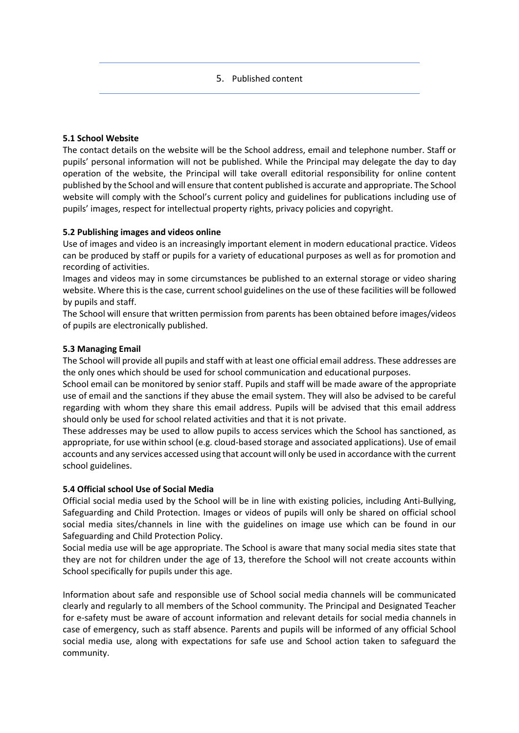5. Published content

#### **5.1 School Website**

The contact details on the website will be the School address, email and telephone number. Staff or pupils' personal information will not be published. While the Principal may delegate the day to day operation of the website, the Principal will take overall editorial responsibility for online content published by the School and will ensure that content published is accurate and appropriate. The School website will comply with the School's current policy and guidelines for publications including use of pupils' images, respect for intellectual property rights, privacy policies and copyright.

## **5.2 Publishing images and videos online**

Use of images and video is an increasingly important element in modern educational practice. Videos can be produced by staff or pupils for a variety of educational purposes as well as for promotion and recording of activities.

Images and videos may in some circumstances be published to an external storage or video sharing website. Where this is the case, current school guidelines on the use of these facilities will be followed by pupils and staff.

The School will ensure that written permission from parents has been obtained before images/videos of pupils are electronically published.

## **5.3 Managing Email**

The School will provide all pupils and staff with at least one official email address. These addresses are the only ones which should be used for school communication and educational purposes.

School email can be monitored by senior staff. Pupils and staff will be made aware of the appropriate use of email and the sanctions if they abuse the email system. They will also be advised to be careful regarding with whom they share this email address. Pupils will be advised that this email address should only be used for school related activities and that it is not private.

These addresses may be used to allow pupils to access services which the School has sanctioned, as appropriate, for use within school (e.g. cloud-based storage and associated applications). Use of email accounts and any services accessed using that account will only be used in accordance with the current school guidelines.

#### **5.4 Official school Use of Social Media**

Official social media used by the School will be in line with existing policies, including Anti-Bullying, Safeguarding and Child Protection. Images or videos of pupils will only be shared on official school social media sites/channels in line with the guidelines on image use which can be found in our Safeguarding and Child Protection Policy.

Social media use will be age appropriate. The School is aware that many social media sites state that they are not for children under the age of 13, therefore the School will not create accounts within School specifically for pupils under this age.

Information about safe and responsible use of School social media channels will be communicated clearly and regularly to all members of the School community. The Principal and Designated Teacher for e-safety must be aware of account information and relevant details for social media channels in case of emergency, such as staff absence. Parents and pupils will be informed of any official School social media use, along with expectations for safe use and School action taken to safeguard the community.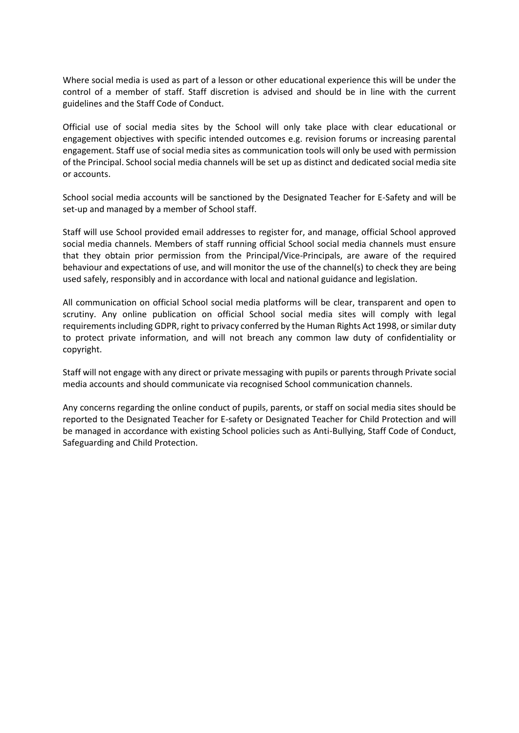Where social media is used as part of a lesson or other educational experience this will be under the control of a member of staff. Staff discretion is advised and should be in line with the current guidelines and the Staff Code of Conduct.

Official use of social media sites by the School will only take place with clear educational or engagement objectives with specific intended outcomes e.g. revision forums or increasing parental engagement. Staff use of social media sites as communication tools will only be used with permission of the Principal. School social media channels will be set up as distinct and dedicated social media site or accounts.

School social media accounts will be sanctioned by the Designated Teacher for E-Safety and will be set-up and managed by a member of School staff.

Staff will use School provided email addresses to register for, and manage, official School approved social media channels. Members of staff running official School social media channels must ensure that they obtain prior permission from the Principal/Vice-Principals, are aware of the required behaviour and expectations of use, and will monitor the use of the channel(s) to check they are being used safely, responsibly and in accordance with local and national guidance and legislation.

All communication on official School social media platforms will be clear, transparent and open to scrutiny. Any online publication on official School social media sites will comply with legal requirements including GDPR, right to privacy conferred by the Human Rights Act 1998, or similar duty to protect private information, and will not breach any common law duty of confidentiality or copyright.

Staff will not engage with any direct or private messaging with pupils or parents through Private social media accounts and should communicate via recognised School communication channels.

Any concerns regarding the online conduct of pupils, parents, or staff on social media sites should be reported to the Designated Teacher for E-safety or Designated Teacher for Child Protection and will be managed in accordance with existing School policies such as Anti-Bullying, Staff Code of Conduct, Safeguarding and Child Protection.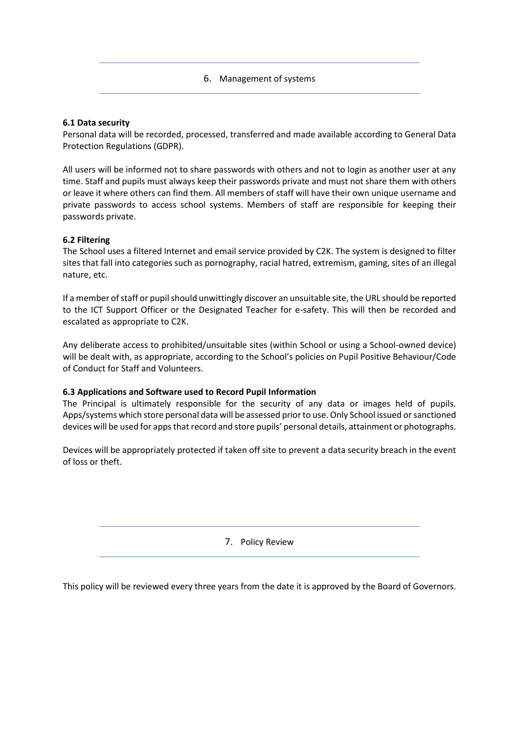|  | 6. Management of systems |
|--|--------------------------|
|--|--------------------------|

#### **6.1 Data security**

Personal data will be recorded, processed, transferred and made available according to General Data Protection Regulations (GDPR).

All users will be informed not to share passwords with others and not to login as another user at any time. Staff and pupils must always keep their passwords private and must not share them with others or leave it where others can find them. All members of staff will have their own unique username and private passwords to access school systems. Members of staff are responsible for keeping their passwords private.

#### **6.2 Filtering**

The School uses a filtered Internet and email service provided by C2K. The system is designed to filter sites that fall into categories such as pornography, racial hatred, extremism, gaming, sites of an illegal nature, etc.

If a member of staff or pupil should unwittingly discover an unsuitable site, the URL should be reported to the ICT Support Officer or the Designated Teacher for e-safety. This will then be recorded and escalated as appropriate to C2K.

Any deliberate access to prohibited/unsuitable sites (within School or using a School-owned device) will be dealt with, as appropriate, according to the School's policies on Pupil Positive Behaviour/Code of Conduct for Staff and Volunteers.

#### **6.3 Applications and Software used to Record Pupil Information**

The Principal is ultimately responsible for the security of any data or images held of pupils. Apps/systems which store personal data will be assessed prior to use. Only School issued or sanctioned devices will be used for apps that record and store pupils' personal details, attainment or photographs.

Devices will be appropriately protected if taken off site to prevent a data security breach in the event of loss or theft.

7. Policy Review

This policy will be reviewed every three years from the date it is approved by the Board of Governors.